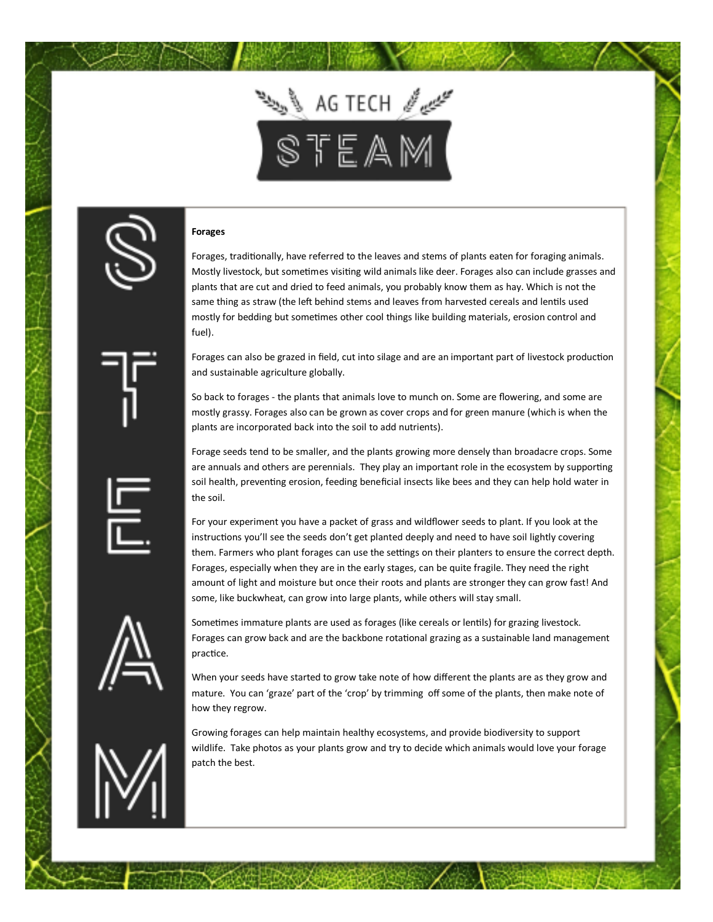

## **Forages**

Forages, traditionally, have referred to the leaves and stems of plants eaten for foraging animals. Mostly livestock, but sometimes visiting wild animals like deer. Forages also can include grasses and plants that are cut and dried to feed animals, you probably know them as hay. Which is not the same thing as straw (the left behind stems and leaves from harvested cereals and lentils used mostly for bedding but sometimes other cool things like building materials, erosion control and fuel).

Forages can also be grazed in field, cut into silage and are an important part of livestock production and sustainable agriculture globally.

So back to forages - the plants that animals love to munch on. Some are flowering, and some are mostly grassy. Forages also can be grown as cover crops and for green manure (which is when the plants are incorporated back into the soil to add nutrients).

Forage seeds tend to be smaller, and the plants growing more densely than broadacre crops. Some are annuals and others are perennials. They play an important role in the ecosystem by supporting soil health, preventing erosion, feeding beneficial insects like bees and they can help hold water in the soil.

For your experiment you have a packet of grass and wildflower seeds to plant. If you look at the instructions you'll see the seeds don't get planted deeply and need to have soil lightly covering them. Farmers who plant forages can use the settings on their planters to ensure the correct depth. Forages, especially when they are in the early stages, can be quite fragile. They need the right amount of light and moisture but once their roots and plants are stronger they can grow fast! And some, like buckwheat, can grow into large plants, while others will stay small.



Sometimes immature plants are used as forages (like cereals or lentils) for grazing livestock. Forages can grow back and are the backbone rotational grazing as a sustainable land management practice.

When your seeds have started to grow take note of how different the plants are as they grow and mature. You can 'graze' part of the 'crop' by trimming off some of the plants, then make note of how they regrow.

Growing forages can help maintain healthy ecosystems, and provide biodiversity to support wildlife. Take photos as your plants grow and try to decide which animals would love your forage patch the best.